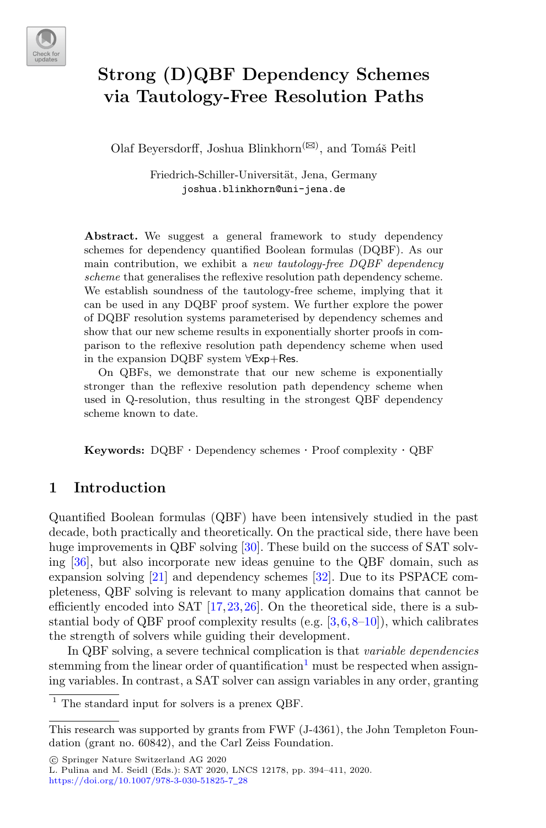

# **Strong (D)QBF Dependency Schemes via Tautology-Free Resolution Paths**

Olaf Beyersdorff, Joshua Blinkhorn<sup>( $\boxtimes$ )</sup>, and Tomáš Peitl

Friedrich-Schiller-Universität, Jena, Germany joshua.blinkhorn@uni-jena.de

Abstract. We suggest a general framework to study dependency schemes for dependency quantified Boolean formulas (DQBF). As our main contribution, we exhibit a *new tautology-free DQBF dependency scheme* that generalises the reflexive resolution path dependency scheme. We establish soundness of the tautology-free scheme, implying that it can be used in any DQBF proof system. We further explore the power of DQBF resolution systems parameterised by dependency schemes and show that our new scheme results in exponentially shorter proofs in comparison to the reflexive resolution path dependency scheme when used in the expansion DQBF system ∀Exp+Res.

On QBFs, we demonstrate that our new scheme is exponentially stronger than the reflexive resolution path dependency scheme when used in Q-resolution, thus resulting in the strongest QBF dependency scheme known to date.

**Keywords:** DQBF · Dependency schemes · Proof complexity · QBF

### **1 Introduction**

Quantified Boolean formulas (QBF) have been intensively studied in the past decade, both practically and theoretically. On the practical side, there have been huge improvements in QBF solving [\[30\]](#page-16-0). These build on the success of SAT solving [\[36\]](#page-17-0), but also incorporate new ideas genuine to the QBF domain, such as expansion solving [\[21\]](#page-16-1) and dependency schemes [\[32](#page-17-1)]. Due to its PSPACE completeness, QBF solving is relevant to many application domains that cannot be efficiently encoded into SAT [\[17](#page-16-2),[23,](#page-16-3)[26\]](#page-16-4). On the theoretical side, there is a substantial body of QBF proof complexity results (e.g.  $[3,6,8-10]$  $[3,6,8-10]$  $[3,6,8-10]$  $[3,6,8-10]$ ), which calibrates the strength of solvers while guiding their development.

In QBF solving, a severe technical complication is that *variable dependencies* stemming from the linear order of quantification<sup>1</sup> must be respected when assigning variables. In contrast, a SAT solver can assign variables in any order, granting

-c Springer Nature Switzerland AG 2020

The standard input for solvers is a prenex QBF.

This research was supported by grants from FWF (J-4361), the John Templeton Foundation (grant no. 60842), and the Carl Zeiss Foundation.

L. Pulina and M. Seidl (Eds.): SAT 2020, LNCS 12178, pp. 394–411, 2020. [https://doi.org/10.1007/978-3-030-51825-7](https://doi.org/10.1007/978-3-030-51825-7_28)\_28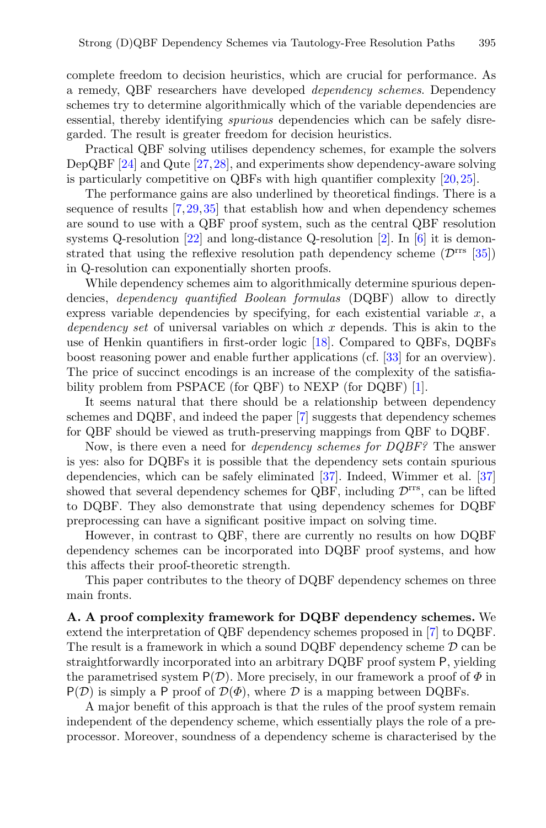complete freedom to decision heuristics, which are crucial for performance. As a remedy, QBF researchers have developed *dependency schemes*. Dependency schemes try to determine algorithmically which of the variable dependencies are essential, thereby identifying *spurious* dependencies which can be safely disregarded. The result is greater freedom for decision heuristics.

Practical QBF solving utilises dependency schemes, for example the solvers DepQBF [\[24\]](#page-16-6) and Qute [\[27](#page-16-7)[,28](#page-16-8)], and experiments show dependency-aware solving is particularly competitive on QBFs with high quantifier complexity  $[20,25]$  $[20,25]$  $[20,25]$ .

The performance gains are also underlined by theoretical findings. There is a sequence of results [\[7](#page-15-3)[,29](#page-16-11),[35\]](#page-17-2) that establish how and when dependency schemes are sound to use with a QBF proof system, such as the central QBF resolution systems Q-resolution  $[22]$  and long-distance Q-resolution  $[2]$ . In  $[6]$  it is demonstrated that using the reflexive resolution path dependency scheme  $(\mathcal{D}^{\text{rrs}}$  [\[35\]](#page-17-2)) in Q-resolution can exponentially shorten proofs.

While dependency schemes aim to algorithmically determine spurious dependencies, *dependency quantified Boolean formulas* (DQBF) allow to directly express variable dependencies by specifying, for each existential variable  $x$ , a *dependency set* of universal variables on which x depends. This is akin to the use of Henkin quantifiers in first-order logic [\[18\]](#page-16-13). Compared to QBFs, DQBFs boost reasoning power and enable further applications (cf. [\[33\]](#page-17-3) for an overview). The price of succinct encodings is an increase of the complexity of the satisfiability problem from PSPACE (for QBF) to NEXP (for DQBF) [\[1](#page-15-5)].

It seems natural that there should be a relationship between dependency schemes and DQBF, and indeed the paper [\[7](#page-15-3)] suggests that dependency schemes for QBF should be viewed as truth-preserving mappings from QBF to DQBF.

Now, is there even a need for *dependency schemes for DQBF?* The answer is yes: also for DQBFs it is possible that the dependency sets contain spurious dependencies, which can be safely eliminated [\[37\]](#page-17-4). Indeed, Wimmer et al. [\[37\]](#page-17-4) showed that several dependency schemes for QBF, including  $\mathcal{D}^{\text{rrs}}$ , can be lifted to DQBF. They also demonstrate that using dependency schemes for DQBF preprocessing can have a significant positive impact on solving time.

However, in contrast to QBF, there are currently no results on how DQBF dependency schemes can be incorporated into DQBF proof systems, and how this affects their proof-theoretic strength.

This paper contributes to the theory of DQBF dependency schemes on three main fronts.

**A. A proof complexity framework for DQBF dependency schemes.** We extend the interpretation of QBF dependency schemes proposed in [\[7\]](#page-15-3) to DQBF. The result is a framework in which a sound DQBF dependency scheme  $D$  can be straightforwardly incorporated into an arbitrary DQBF proof system P, yielding the parametrised system  $P(\mathcal{D})$ . More precisely, in our framework a proof of  $\Phi$  in  $P(D)$  is simply a P proof of  $D(\Phi)$ , where D is a mapping between DQBFs.

A major benefit of this approach is that the rules of the proof system remain independent of the dependency scheme, which essentially plays the role of a preprocessor. Moreover, soundness of a dependency scheme is characterised by the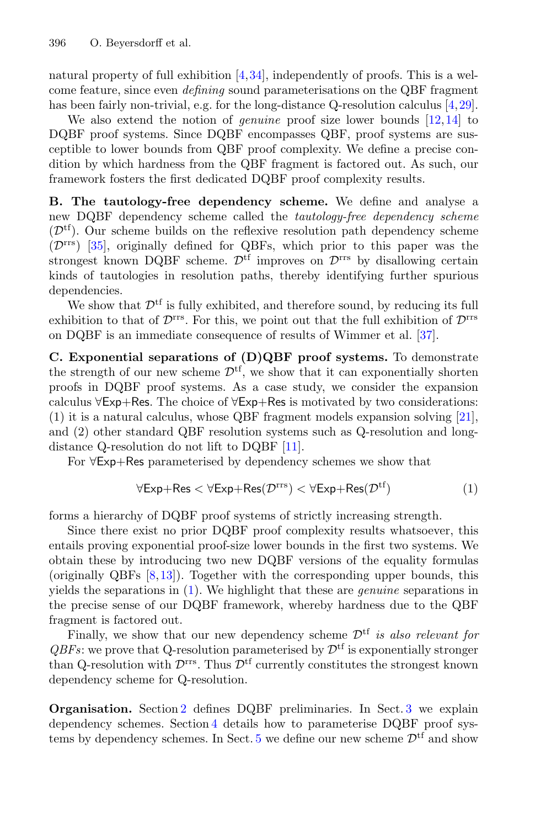natural property of full exhibition  $[4,34]$  $[4,34]$  $[4,34]$ , independently of proofs. This is a welcome feature, since even *defining* sound parameterisations on the QBF fragment has been fairly non-trivial, e.g. for the long-distance Q-resolution calculus [\[4,](#page-15-6)[29\]](#page-16-11).

We also extend the notion of *genuine* proof size lower bounds [\[12](#page-16-14),[14\]](#page-16-15) to DQBF proof systems. Since DQBF encompasses QBF, proof systems are susceptible to lower bounds from QBF proof complexity. We define a precise condition by which hardness from the QBF fragment is factored out. As such, our framework fosters the first dedicated DQBF proof complexity results.

**B. The tautology-free dependency scheme.** We define and analyse a new DQBF dependency scheme called the *tautology-free dependency scheme*  $(\mathcal{D}^{tf})$ . Our scheme builds on the reflexive resolution path dependency scheme  $(\mathcal{D}^{\text{rrs}})$  [\[35](#page-17-2)], originally defined for QBFs, which prior to this paper was the strongest known DQBF scheme.  $\mathcal{D}^{\text{tf}}$  improves on  $\mathcal{D}^{\text{rrs}}$  by disallowing certain kinds of tautologies in resolution paths, thereby identifying further spurious dependencies.

We show that  $\mathcal{D}^{\text{tf}}$  is fully exhibited, and therefore sound, by reducing its full exhibition to that of  $\mathcal{D}^{rrs}$ . For this, we point out that the full exhibition of  $\mathcal{D}^{rrs}$ on DQBF is an immediate consequence of results of Wimmer et al. [\[37](#page-17-4)].

**C. Exponential separations of (D)QBF proof systems.** To demonstrate the strength of our new scheme  $\mathcal{D}^{tf}$ , we show that it can exponentially shorten proofs in DQBF proof systems. As a case study, we consider the expansion calculus <sup>∀</sup>Exp+Res. The choice of <sup>∀</sup>Exp+Res is motivated by two considerations: (1) it is a natural calculus, whose QBF fragment models expansion solving [\[21\]](#page-16-1), and (2) other standard QBF resolution systems such as Q-resolution and longdistance Q-resolution do not lift to DQBF [\[11\]](#page-16-16).

For <sup>∀</sup>Exp+Res parameterised by dependency schemes we show that

<span id="page-2-0"></span>
$$
\forall \text{Exp+Res} < \forall \text{Exp+Res}(\mathcal{D}^{\text{rrs}}) < \forall \text{Exp+Res}(\mathcal{D}^{\text{tf}})
$$
 (1)

forms a hierarchy of DQBF proof systems of strictly increasing strength.

Since there exist no prior DQBF proof complexity results whatsoever, this entails proving exponential proof-size lower bounds in the first two systems. We obtain these by introducing two new DQBF versions of the equality formulas (originally QBFs [\[8](#page-15-2)[,13\]](#page-16-17)). Together with the corresponding upper bounds, this yields the separations in [\(1\)](#page-2-0). We highlight that these are *genuine* separations in the precise sense of our DQBF framework, whereby hardness due to the QBF fragment is factored out.

Finally, we show that our new dependency scheme  $\mathcal{D}^{tf}$  *is also relevant for*  $QBFs$ : we prove that Q-resolution parameterised by  $\mathcal{D}^{tf}$  is exponentially stronger than Q-resolution with  $\mathcal{D}^{\text{rrs}}$ . Thus  $\mathcal{D}^{\text{tf}}$  currently constitutes the strongest known dependency scheme for Q-resolution.

**Organisation.** Section [2](#page-3-0) defines DQBF preliminaries. In Sect. [3](#page-4-0) we explain dependency schemes. Section [4](#page-5-0) details how to parameterise DQBF proof systems by dependency schemes. In Sect.  $5$  we define our new scheme  $\mathcal{D}^{tf}$  and show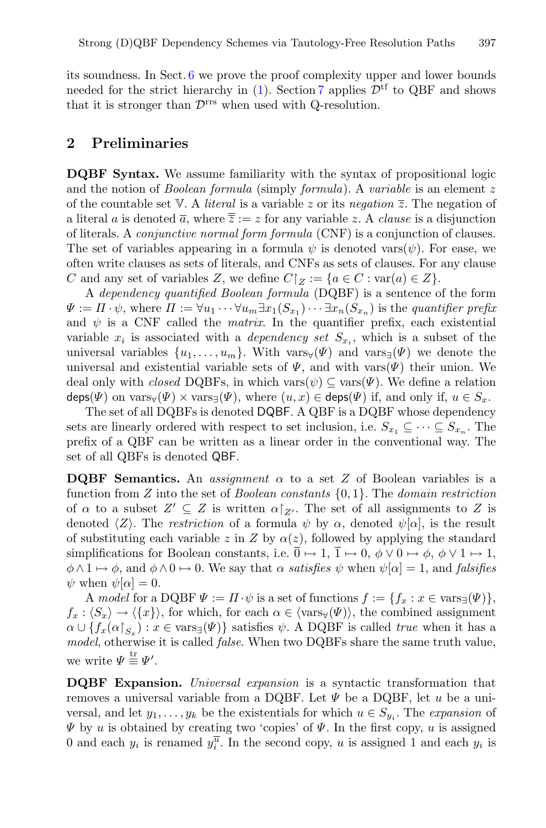its soundness. In Sect. [6](#page-9-0) we prove the proof complexity upper and lower bounds needed for the strict hierarchy in [\(1\)](#page-2-0). Section [7](#page-13-0) applies  $\mathcal{D}^{\text{tf}}$  to QBF and shows that it is stronger than  $\mathcal{D}^{\text{rrs}}$  when used with Q-resolution.

#### <span id="page-3-0"></span>**2 Preliminaries**

**DQBF Syntax.** We assume familiarity with the syntax of propositional logic and the notion of *Boolean formula* (simply *formula*). A *variable* is an element z of the countable set V. A *literal* is a variable z or its *negation* z. The negation of a literal a is denoted  $\overline{a}$ , where  $\overline{\overline{z}} := z$  for any variable z. A *clause* is a disjunction of literals. A *conjunctive normal form formula* (CNF) is a conjunction of clauses. The set of variables appearing in a formula  $\psi$  is denoted vars $(\psi)$ . For ease, we often write clauses as sets of literals, and CNFs as sets of clauses. For any clause C and any set of variables Z, we define  $C|_Z := \{a \in C : \text{var}(a) \in Z\}.$ 

A *dependency quantified Boolean formula* (DQBF) is a sentence of the form  $\Psi := \Pi \cdot \psi$ , where  $\Pi := \forall u_1 \cdots \forall u_m \exists x_1(S_{x_1}) \cdots \exists x_n(S_{x_n})$  is the *quantifier prefix* and  $\psi$  is a CNF called the *matrix*. In the quantifier prefix, each existential variable  $x_i$  is associated with a *dependency set*  $S_{x_i}$ , which is a subset of the universal variables  $\{u_1,\ldots,u_m\}$ . With vars $\forall(\Psi)$  and vars $\exists(\Psi)$  we denote the universal and existential variable sets of  $\Psi$ , and with vars $(\Psi)$  their union. We deal only with *closed* DQBFs, in which vars $(\psi) \subseteq \text{vars}(\Psi)$ . We define a relation  $\text{deps}(\Psi)$  on  $\text{vars}_{\Psi}(\Psi) \times \text{vars}_{\exists}(\Psi)$ , where  $(u, x) \in \text{deps}(\Psi)$  if, and only if,  $u \in S_x$ .

The set of all DQBFs is denoted DQBF. A QBF is a DQBF whose dependency sets are linearly ordered with respect to set inclusion, i.e.  $S_{x_1} \subseteq \cdots \subseteq S_{x_n}$ . The prefix of a QBF can be written as a linear order in the conventional way. The set of all QBFs is denoted QBF.

**DQBF** Semantics. An *assignment*  $\alpha$  to a set Z of Boolean variables is a function from Z into the set of *Boolean constants* {0, 1}. The *domain restriction* of  $\alpha$  to a subset  $Z' \subseteq Z$  is written  $\alpha|_{Z'}$ . The set of all assignments to Z is denoted  $\langle Z \rangle$ . The *restriction* of a formula  $\psi$  by  $\alpha$ , denoted  $\psi[\alpha]$ , is the result of substituting each variable z in Z by  $\alpha(z)$ , followed by applying the standard simplifications for Boolean constants, i.e.  $\overline{0} \mapsto 1$ ,  $\overline{1} \mapsto 0$ ,  $\phi \vee 0 \mapsto \phi$ ,  $\phi \vee 1 \mapsto 1$ ,  $\phi \wedge 1 \mapsto \phi$ , and  $\phi \wedge 0 \mapsto 0$ . We say that  $\alpha$  *satisfies*  $\psi$  when  $\psi[\alpha] = 1$ , and *falsifies*  $\psi$  when  $\psi[\alpha] = 0$ .

A *model* for a DQBF  $\Psi := \Pi \cdot \psi$  is a set of functions  $f := \{f_x : x \in \text{vars}_{\exists}(\Psi)\}\$ ,  $f_x: \langle S_x \rangle \to \langle \{x\} \rangle$ , for which, for each  $\alpha \in \langle \text{vars}_{\forall}(\Psi) \rangle$ , the combined assignment  $\alpha \cup \{f_x(\alpha|_{S_x}) : x \in \text{vars}_{\exists}(\Psi)\}\$  satisfies  $\psi$ . A DQBF is called *true* when it has a *model*, otherwise it is called *false*. When two DQBFs share the same truth value, we write  $\Psi \stackrel{\text{tr}}{=} \Psi'.$ 

**DQBF Expansion.** *Universal expansion* is a syntactic transformation that removes a universal variable from a DQBF. Let  $\Psi$  be a DQBF, let u be a universal, and let  $y_1, \ldots, y_k$  be the existentials for which  $u \in S_{y_i}$ . The *expansion* of  $\Psi$  by u is obtained by creating two 'copies' of  $\Psi$ . In the first copy, u is assigned 0 and each  $y_i$  is renamed  $y_i^{\overline{u}}$ . In the second copy, u is assigned 1 and each  $y_i$  is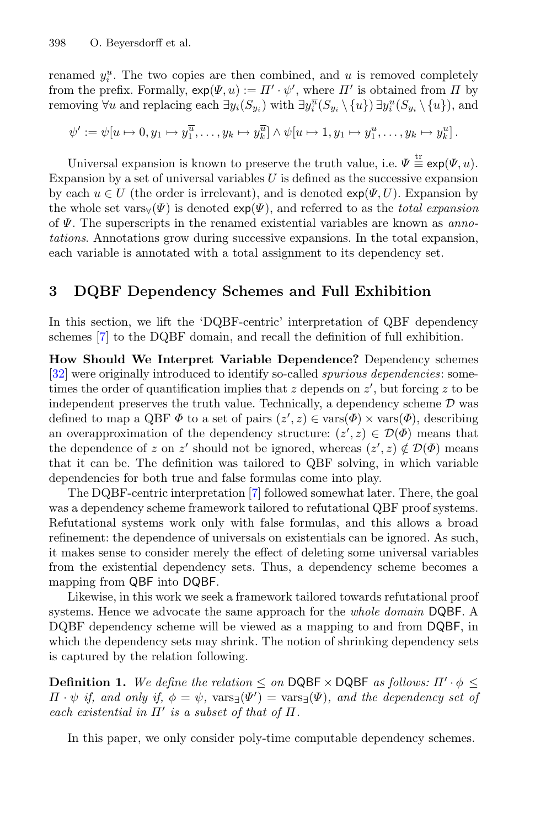renamed  $y_i^u$ . The two copies are then combined, and u is removed completely from the prefix. Formally,  $exp(\Psi, u) := \Pi' \cdot \psi'$ , where  $\Pi'$  is obtained from  $\Pi$  by removing  $\forall u$  and replacing each  $\exists y_i(S_{y_i})$  with  $\exists y_i^{\overline{u}}(S_{y_i} \setminus \{u\}) \exists y_i^u(S_{y_i} \setminus \{u\})$ , and

$$
\psi' := \psi[u \mapsto 0, y_1 \mapsto y_1^{\overline{u}}, \dots, y_k \mapsto y_k^{\overline{u}}] \wedge \psi[u \mapsto 1, y_1 \mapsto y_1^u, \dots, y_k \mapsto y_k^u].
$$

Universal expansion is known to preserve the truth value, i.e.  $\Psi \equiv \exp(\Psi, u)$ . Expansion by a set of universal variables  $U$  is defined as the successive expansion by each  $u \in U$  (the order is irrelevant), and is denoted  $exp(\Psi, U)$ . Expansion by the whole set vars $\forall(\Psi)$  is denoted  $exp(\Psi)$ , and referred to as the *total expansion* of Ψ. The superscripts in the renamed existential variables are known as *annotations*. Annotations grow during successive expansions. In the total expansion, each variable is annotated with a total assignment to its dependency set.

### <span id="page-4-0"></span>**3 DQBF Dependency Schemes and Full Exhibition**

In this section, we lift the 'DQBF-centric' interpretation of QBF dependency schemes [\[7](#page-15-3)] to the DQBF domain, and recall the definition of full exhibition.

**How Should We Interpret Variable Dependence?** Dependency schemes [\[32](#page-17-1)] were originally introduced to identify so-called *spurious dependencies*: sometimes the order of quantification implies that  $z$  depends on  $z'$ , but forcing  $z$  to be independent preserves the truth value. Technically, a dependency scheme  $D$  was defined to map a QBF  $\Phi$  to a set of pairs  $(z', z) \in \text{vars}(\Phi) \times \text{vars}(\Phi)$ , describing an overapproximation of the dependency structure:  $(z', z) \in \mathcal{D}(\Phi)$  means that the dependence of z on z' should not be ignored, whereas  $(z', z) \notin \mathcal{D}(\Phi)$  means that it can be. The definition was tailored to QBF solving, in which variable dependencies for both true and false formulas come into play.

The DQBF-centric interpretation [\[7\]](#page-15-3) followed somewhat later. There, the goal was a dependency scheme framework tailored to refutational QBF proof systems. Refutational systems work only with false formulas, and this allows a broad refinement: the dependence of universals on existentials can be ignored. As such, it makes sense to consider merely the effect of deleting some universal variables from the existential dependency sets. Thus, a dependency scheme becomes a mapping from QBF into DQBF.

Likewise, in this work we seek a framework tailored towards refutational proof systems. Hence we advocate the same approach for the *whole domain* DQBF. A DQBF dependency scheme will be viewed as a mapping to and from DQBF, in which the dependency sets may shrink. The notion of shrinking dependency sets is captured by the relation following.

**Definition 1.** We define the relation  $\leq$  on DQBF  $\times$  DQBF as follows:  $\Pi' \cdot \phi \leq$  $\Pi \cdot \psi$  *if, and only if,*  $\phi = \psi$ ,  $\text{vars}_{\exists}(\Psi') = \text{vars}_{\exists}(\Psi)$ , and the dependency set of *each existential in*  $\Pi'$  *is a subset of that of*  $\Pi$ .

<span id="page-4-1"></span>In this paper, we only consider poly-time computable dependency schemes.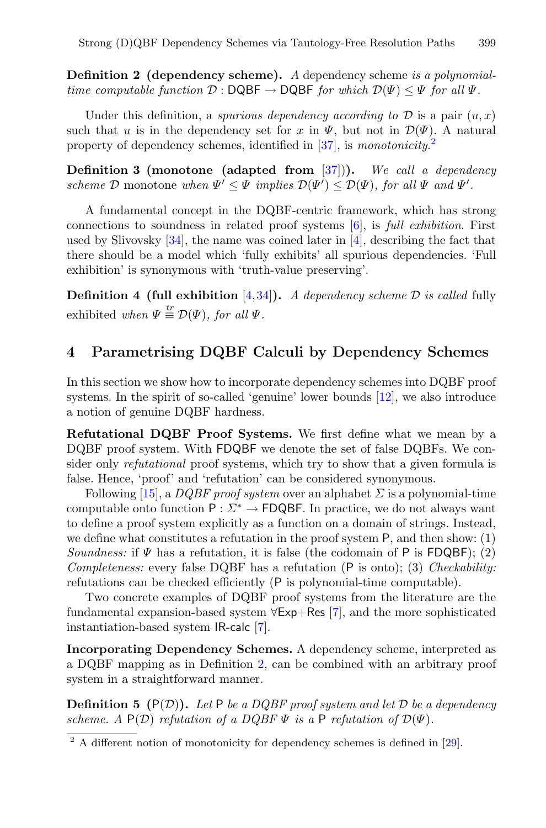**Definition 2 (dependency scheme).** *A* dependency scheme *is a polynomialtime computable function*  $\mathcal{D}: \mathsf{DQBF} \to \mathsf{DQBF}$  *for which*  $\mathcal{D}(\Psi) \leq \Psi$  *for all*  $\Psi$ *.* 

Under this definition, a *spurious dependency according to*  $D$  is a pair  $(u, x)$ such that u is in the dependency set for x in  $\Psi$ , but not in  $\mathcal{D}(\Psi)$ . A natural property of dependency schemes, identified in [\[37](#page-17-4)], is *monotonicity*. [2](#page-5-1)

**Definition 3 (monotone (adapted from** [\[37\]](#page-17-4))**).** *We call a dependency scheme*  $D$  monotone *when*  $\Psi' \leq \Psi$  *implies*  $D(\Psi') \leq D(\Psi)$ *, for all*  $\Psi$  *and*  $\Psi'$ *.* 

A fundamental concept in the DQBF-centric framework, which has strong connections to soundness in related proof systems [\[6\]](#page-15-1), is *full exhibition*. First used by Slivovsky  $[34]$ , the name was coined later in  $[4]$  $[4]$ , describing the fact that there should be a model which 'fully exhibits' all spurious dependencies. 'Full exhibition' is synonymous with 'truth-value preserving'.

**Definition 4 (full exhibition** [\[4,](#page-15-6)[34\]](#page-17-5)**).** *A dependency scheme* D *is called* fully exhibited *when*  $\Psi \stackrel{tr}{=} \mathcal{D}(\Psi)$ *, for all*  $\Psi$ *.* 

#### <span id="page-5-0"></span>**4 Parametrising DQBF Calculi by Dependency Schemes**

In this section we show how to incorporate dependency schemes into DQBF proof systems. In the spirit of so-called 'genuine' lower bounds [\[12](#page-16-14)], we also introduce a notion of genuine DQBF hardness.

**Refutational DQBF Proof Systems.** We first define what we mean by a DQBF proof system. With FDQBF we denote the set of false DQBFs. We consider only *refutational* proof systems, which try to show that a given formula is false. Hence, 'proof' and 'refutation' can be considered synonymous.

Following [\[15\]](#page-16-18), a *DQBF proof system* over an alphabet  $\Sigma$  is a polynomial-time computable onto function  $P : \Sigma^* \to \mathsf{FDQBF}$ . In practice, we do not always want to define a proof system explicitly as a function on a domain of strings. Instead, we define what constitutes a refutation in the proof system P, and then show: (1) *Soundness:* if  $\Psi$  has a refutation, it is false (the codomain of P is FDQBF); (2) *Completeness:* every false DQBF has a refutation (P is onto); (3) *Checkability:* refutations can be checked efficiently (P is polynomial-time computable).

Two concrete examples of DQBF proof systems from the literature are the fundamental expansion-based system <sup>∀</sup>Exp+Res [\[7\]](#page-15-3), and the more sophisticated instantiation-based system IR-calc [\[7](#page-15-3)].

**Incorporating Dependency Schemes.** A dependency scheme, interpreted as a DQBF mapping as in Definition [2,](#page-4-1) can be combined with an arbitrary proof system in a straightforward manner.

**Definition 5**  $(P(D))$ . Let P be a DQBF proof system and let D be a dependency *scheme.* A  $P(D)$  *refutation of a DQBF*  $\Psi$  *is a* P *refutation of*  $D(\Psi)$ *.* 

<span id="page-5-1"></span> $2\overline{)}$  A different notion of monotonicity for dependency schemes is defined in [\[29\]](#page-16-11).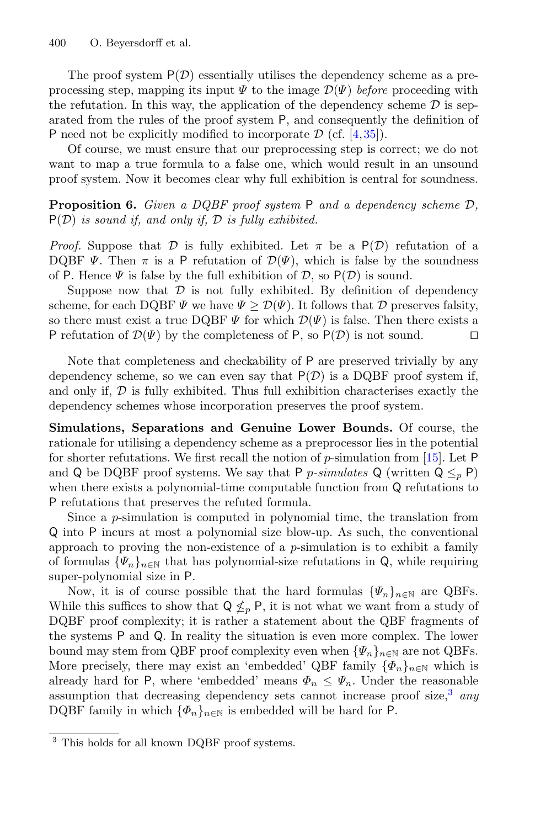The proof system  $P(\mathcal{D})$  essentially utilises the dependency scheme as a preprocessing step, mapping its input  $\Psi$  to the image  $\mathcal{D}(\Psi)$  *before* proceeding with the refutation. In this way, the application of the dependency scheme  $\mathcal D$  is separated from the rules of the proof system P, and consequently the definition of P need not be explicitly modified to incorporate  $\mathcal{D}$  (cf. [\[4](#page-15-6),[35\]](#page-17-2)).

Of course, we must ensure that our preprocessing step is correct; we do not want to map a true formula to a false one, which would result in an unsound proof system. Now it becomes clear why full exhibition is central for soundness.

<span id="page-6-1"></span>**Proposition 6.** *Given a DQBF proof system* <sup>P</sup> *and a dependency scheme* <sup>D</sup>*,* <sup>P</sup>(D) *is sound if, and only if,* <sup>D</sup> *is fully exhibited.*

*Proof.* Suppose that D is fully exhibited. Let  $\pi$  be a  $P(D)$  refutation of a DQBF  $\Psi$ . Then  $\pi$  is a P refutation of  $\mathcal{D}(\Psi)$ , which is false by the soundness of P. Hence  $\Psi$  is false by the full exhibition of  $D$ , so  $P(D)$  is sound.

Suppose now that  $\mathcal D$  is not fully exhibited. By definition of dependency scheme, for each DQBF  $\Psi$  we have  $\Psi \geq \mathcal{D}(\Psi)$ . It follows that  $\mathcal D$  preserves falsity, so there must exist a true DQBF  $\Psi$  for which  $\mathcal{D}(\Psi)$  is false. Then there exists a P refutation of  $\mathcal{D}(\Psi)$  by the completeness of P, so  $P(\mathcal{D})$  is not sound. P refutation of  $\mathcal{D}(\Psi)$  by the completeness of P, so  $P(\mathcal{D})$  is not sound.

Note that completeness and checkability of P are preserved trivially by any dependency scheme, so we can even say that  $P(\mathcal{D})$  is a DQBF proof system if, and only if,  $D$  is fully exhibited. Thus full exhibition characterises exactly the dependency schemes whose incorporation preserves the proof system.

**Simulations, Separations and Genuine Lower Bounds.** Of course, the rationale for utilising a dependency scheme as a preprocessor lies in the potential for shorter refutations. We first recall the notion of  $p$ -simulation from [\[15](#page-16-18)]. Let P and Q be DQBF proof systems. We say that P *p*-simulates Q (written  $Q \leq_p P$ ) when there exists a polynomial-time computable function from Q refutations to P refutations that preserves the refuted formula.

Since a p-simulation is computed in polynomial time, the translation from Q into P incurs at most a polynomial size blow-up. As such, the conventional approach to proving the non-existence of a  $p$ -simulation is to exhibit a family of formulas  $\{\Psi_n\}_{n\in\mathbb{N}}$  that has polynomial-size refutations in Q, while requiring super-polynomial size in P.

Now, it is of course possible that the hard formulas  $\{\Psi_n\}_{n\in\mathbb{N}}$  are QBFs. While this suffices to show that  $Q \nleq_p P$ , it is not what we want from a study of DQBF proof complexity; it is rather a statement about the QBF fragments of the systems P and Q. In reality the situation is even more complex. The lower bound may stem from QBF proof complexity even when  $\{\Psi_n\}_{n\in\mathbb{N}}$  are not QBFs. More precisely, there may exist an 'embedded' QBF family  $\{\Phi_n\}_{n\in\mathbb{N}}$  which is already hard for P, where 'embedded' means  $\Phi_n \leq \Psi_n$ . Under the reasonable assumption that decreasing dependency sets cannot increase proof size,[3](#page-6-0) *any* DQBF family in which  $\{\Phi_n\}_{n\in\mathbb{N}}$  is embedded will be hard for P.

<span id="page-6-0"></span><sup>&</sup>lt;sup>3</sup> This holds for all known DQBF proof systems.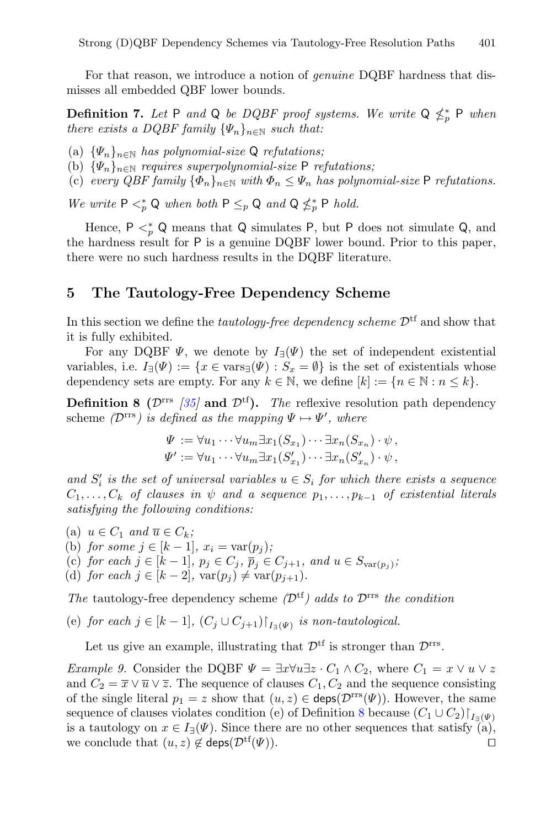<span id="page-7-3"></span>For that reason, we introduce a notion of *genuine* DQBF hardness that dismisses all embedded QBF lower bounds.

**Definition 7.** Let P and Q be DQBF proof systems. We write  $Q \nleq^*_{p} P$  when *there exists a DQBF family*  $\{\Psi_n\}_{n\in\mathbb{N}}$  *such that:* 

- (a) {Ψn}n∈<sup>N</sup> *has polynomial-size* <sup>Q</sup> *refutations;*
- (b) {Ψn}n∈<sup>N</sup> *requires superpolynomial-size* <sup>P</sup> *refutations;*
- (c) *every QBF family*  $\{\Phi_n\}_{n\in\mathbb{N}}$  *with*  $\Phi_n \leq \Psi_n$  *has polynomial-size* P *refutations.*

*We write*  $P \leq^*_{p} Q$  *when both*  $P \leq^*_{p} Q$  *and*  $Q \nleq^*_{p} P$  *hold.* 

Hence,  $P \lt^*_{p} Q$  means that Q simulates P, but P does not simulate Q, and the hardness result for P is a genuine DQBF lower bound. Prior to this paper, there were no such hardness results in the DQBF literature.

#### <span id="page-7-0"></span>**5 The Tautology-Free Dependency Scheme**

In this section we define the *tautology-free dependency scheme*  $\mathcal{D}^{tf}$  and show that it is fully exhibited.

For any DQBF  $\Psi$ , we denote by  $I_{\exists}(\Psi)$  the set of independent existential variables, i.e.  $I_{\exists}(\Psi) := \{x \in \text{vars}_{\exists}(\Psi) : S_x = \emptyset\}$  is the set of existentials whose dependency sets are empty. For any  $k \in \mathbb{N}$ , we define  $[k] := \{n \in \mathbb{N} : n \leq k\}.$ 

**Definition 8 (** $\mathcal{D}^{\text{rrs}}$  **/35/ and**  $\mathcal{D}^{\text{tf}}$ **). The reflexive resolution path dependency** scheme  $(\mathcal{D}^{\text{rrs}})$  *is defined as the mapping*  $\Psi \mapsto \Psi'$ *, where* 

<span id="page-7-2"></span><span id="page-7-1"></span>
$$
\Psi := \forall u_1 \cdots \forall u_m \exists x_1 (S_{x_1}) \cdots \exists x_n (S_{x_n}) \cdot \psi,
$$
  

$$
\Psi' := \forall u_1 \cdots \forall u_m \exists x_1 (S'_{x_1}) \cdots \exists x_n (S'_{x_n}) \cdot \psi,
$$

and  $S_i'$  is the set of universal variables  $u \in S_i$  for which there exists a sequence  $C_1, \ldots, C_k$  *of clauses in*  $\psi$  *and a sequence*  $p_1, \ldots, p_{k-1}$  *of existential literals satisfying the following conditions:*

(a)  $u \in C_1$  *and*  $\overline{u} \in C_k$ ; (b) *for some*  $j \in [k-1]$ ,  $x_i = \text{var}(p_j)$ ; (c) *for each*  $j \in [k-1]$ *,*  $p_j \in C_j$ *,*  $\overline{p}_j \in C_{j+1}$ *, and*  $u \in S_{var(p_j)}$ *;* (d) *for each*  $j \in [k-2]$ ,  $var(p_j) \neq var(p_{j+1})$ .

*The* tautology-free dependency scheme  $(\mathcal{D}^{tf})$  adds to  $\mathcal{D}^{rrs}$  the condition

(e) for each  $j \in [k-1]$ ,  $(C_j \cup C_{j+1})|_{I_{\exists}(\Psi)}$  *is non-tautological.* 

Let us give an example, illustrating that  $\mathcal{D}^{\text{tf}}$  is stronger than  $\mathcal{D}^{\text{rrs}}$ .

*Example 9.* Consider the DQBF  $\Psi = \exists x \forall u \exists z \cdot C_1 \wedge C_2$ , where  $C_1 = x \vee u \vee z$ and  $C_2 = \overline{x} \vee \overline{u} \vee \overline{z}$ . The sequence of clauses  $C_1, C_2$  and the sequence consisting of the single literal  $p_1 = z$  show that  $(u, z) \in \text{deps}(\mathcal{D}^{\text{rrs}}(\Psi))$ . However, the same sequence of clauses violates condition (e) of Definition [8](#page-7-1) because  $(C_1 \cup C_2)$   $\vert_{I_{\exists}(\Psi)}$ is a tautology on  $x \in I_{\exists}(\Psi)$ . Since there are no other sequences that satisfy (a), we conclude that  $(u, z) \notin \text{dens}(\mathcal{D}^{\text{tf}}(\Psi))$ . we conclude that  $(u, z) \notin \text{deps}(\mathcal{D}^{\text{tf}}(\Psi)).$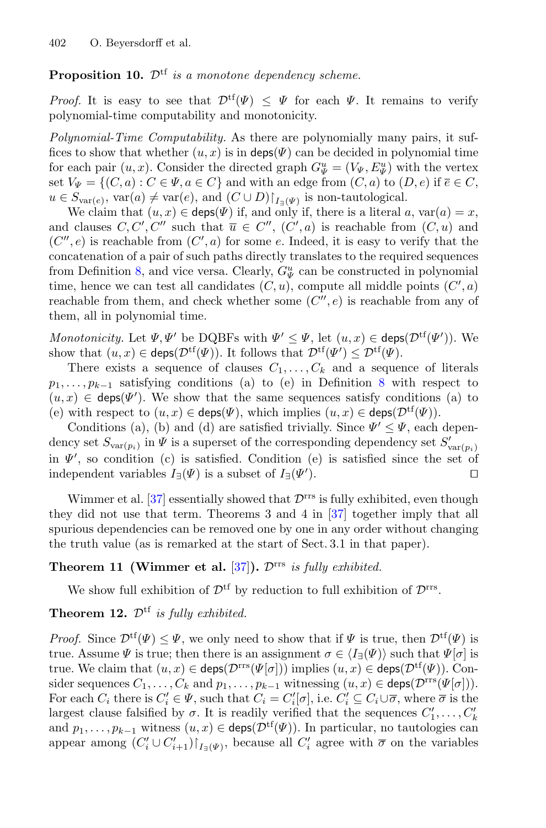### Proposition 10.  $\mathcal{D}^{tf}$  *is a monotone dependency scheme.*

*Proof.* It is easy to see that  $\mathcal{D}^{tf}(\Psi) < \Psi$  for each  $\Psi$ . It remains to verify polynomial-time computability and monotonicity.

*Polynomial-Time Computability.* As there are polynomially many pairs, it suffices to show that whether  $(u, x)$  is in deps( $\Psi$ ) can be decided in polynomial time for each pair  $(u, x)$ . Consider the directed graph  $G^u_{\Psi} = (V_{\Psi}, E^u_{\Psi})$  with the vertex set  $V_{\Psi} = \{ (C, a) : C \in \Psi, a \in C \}$  and with an edge from  $(C, a)$  to  $(D, e)$  if  $\overline{e} \in C$ ,  $u \in S_{\text{var}(e)}$ ,  $\text{var}(a) \neq \text{var}(e)$ , and  $(C \cup D)\upharpoonright_{I_{\exists}(\Psi)}$  is non-tautological.

We claim that  $(u, x) \in \text{deps}(\Psi)$  if, and only if, there is a literal a, var $(a) = x$ , and clauses  $C, C', C''$  such that  $\overline{u} \in C'', (C', a)$  is reachable from  $(C, u)$  and  $(C'',e)$  is reachable from  $(C',a)$  for some e. Indeed, it is easy to verify that the concatenation of a pair of such paths directly translates to the required sequences from Definition [8,](#page-7-1) and vice versa. Clearly,  $G^u_{\Psi}$  can be constructed in polynomial time, hence we can test all candidates  $(C, u)$ , compute all middle points  $(C', a)$ reachable from them, and check whether some  $(C'',e)$  is reachable from any of them, all in polynomial time.

*Monotonicity.* Let  $\Psi, \Psi'$  be DQBFs with  $\Psi' \leq \Psi$ , let  $(u, x) \in \text{deps}(\mathcal{D}^{tf}(\Psi'))$ . We show that  $(u, x) \in \text{deps}(\mathcal{D}^{\text{tf}}(\Psi))$ . It follows that  $\mathcal{D}^{\text{tf}}(\Psi') \leq \mathcal{D}^{\text{tf}}(\Psi)$ .

There exists a sequence of clauses  $C_1, \ldots, C_k$  and a sequence of literals  $p_1,\ldots,p_{k-1}$  satisfying conditions (a) to (e) in Definition [8](#page-7-1) with respect to  $(u, x) \in \text{deps}(\Psi')$ . We show that the same sequences satisfy conditions (a) to (e) with respect to  $(u, x) \in \mathsf{deps}(\Psi)$ , which implies  $(u, x) \in \mathsf{deps}(\mathcal{D}^{tf}(\Psi))$ .

Conditions (a), (b) and (d) are satisfied trivially. Since  $\Psi' \leq \Psi$ , each dependency set  $S_{var(p_i)}$  in  $\Psi$  is a superset of the corresponding dependency set  $S'_{var(p_i)}$ in  $\Psi'$ , so condition (c) is satisfied. Condition (e) is satisfied since the set of independent variables  $I_{\exists}(\Psi)$  is a subset of  $I_{\exists}(\Psi')$ . ).

Wimmer et al.  $[37]$  essentially showed that  $\mathcal{D}^{\text{rrs}}$  is fully exhibited, even though they did not use that term. Theorems 3 and 4 in [\[37\]](#page-17-4) together imply that all spurious dependencies can be removed one by one in any order without changing the truth value (as is remarked at the start of Sect. 3.1 in that paper).

### **Theorem 11 (Wimmer et al.** [\[37\]](#page-17-4)**).** <sup>D</sup>rrs *is fully exhibited.*

<span id="page-8-0"></span>We show full exhibition of  $\mathcal{D}^{\text{tf}}$  by reduction to full exhibition of  $\mathcal{D}^{\text{rrs}}$ .

### **Theorem 12.**  $\mathcal{D}^{tf}$  *is fully exhibited.*

*Proof.* Since  $\mathcal{D}^{tf}(\Psi) \leq \Psi$ , we only need to show that if  $\Psi$  is true, then  $\mathcal{D}^{tf}(\Psi)$  is true. Assume  $\Psi$  is true; then there is an assignment  $\sigma \in \langle I_{\exists}(\Psi) \rangle$  such that  $\Psi[\sigma]$  is true. We claim that  $(u, x) \in \text{deps}(\mathcal{D}^{rrs}(\Psi[\sigma]))$  implies  $(u, x) \in \text{deps}(\mathcal{D}^{tf}(\Psi))$ . Consider sequences  $C_1, \ldots, C_k$  and  $p_1, \ldots, p_{k-1}$  witnessing  $(u, x) \in \text{deps}(\mathcal{D}^{\text{rrs}}(\Psi[\sigma]))$ . For each  $C_i$  there is  $C'_i \in \Psi$ , such that  $C_i = C'_i[\sigma]$ , i.e.  $C'_i \subseteq C_i \cup \overline{\sigma}$ , where  $\overline{\sigma}$  is the largest clause falsified by  $\sigma$ . It is readily verified that the sequences  $C'_1, \ldots, C'_k$ and  $p_1, \ldots, p_{k-1}$  witness  $(u, x) \in \text{disp}(\mathcal{D}^{tf}(\Psi))$ . In particular, no tautologies can appear among  $(C_i' \cup C_{i+1}')|_{I_{\exists}(\Psi)}$ , because all  $C_i'$  agree with  $\overline{\sigma}$  on the variables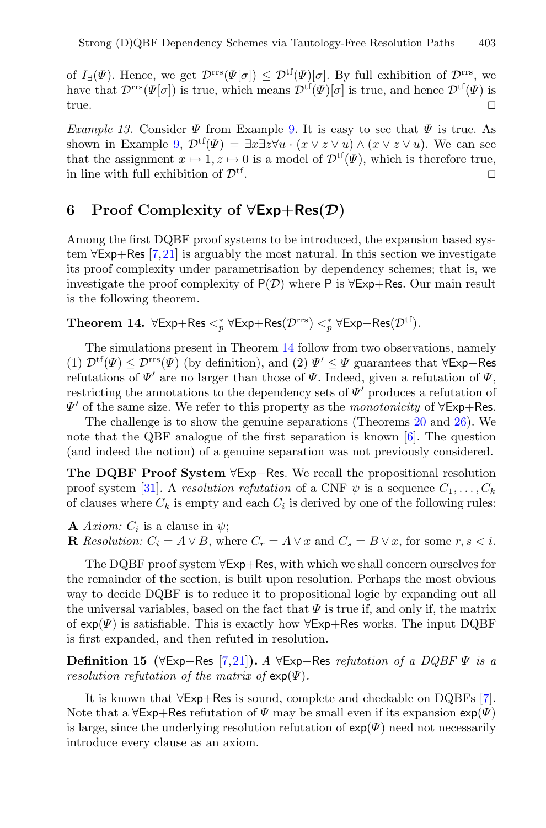of  $I_{\exists}(\Psi)$ . Hence, we get  $\mathcal{D}^{\text{rrs}}(\Psi|\sigma) \leq \mathcal{D}^{\text{tf}}(\Psi)|\sigma|$ . By full exhibition of  $\mathcal{D}^{\text{rrs}}$ , we have that  $\mathcal{D}^{rrs}(\Psi[\sigma])$  is true, which means  $\mathcal{D}^{tf}(\Psi)[\sigma]$  is true, and hence  $\mathcal{D}^{tf}(\Psi)$  is true. true.

*Example 13.* Consider  $\Psi$  from Example [9.](#page-7-2) It is easy to see that  $\Psi$  is true. As shown in Example [9,](#page-7-2)  $\mathcal{D}^{tf}(\Psi) = \exists x \exists z \forall u \cdot (x \vee z \vee u) \wedge (\overline{x} \vee \overline{z} \vee \overline{u})$ . We can see that the assignment  $x \mapsto 1, z \mapsto 0$  is a model of  $\mathcal{D}^{tf}(\Psi)$ , which is therefore true,<br>in line with full exhibition of  $\mathcal{D}^{tf}$ . in line with full exhibition of  $\mathcal{D}^{tf}$ .

### <span id="page-9-0"></span>**6 Proof Complexity of** *∀***Exp+Res(***D***)**

Among the first DQBF proof systems to be introduced, the expansion based system  $\forall$ Exp+Res [\[7](#page-15-3)[,21](#page-16-1)] is arguably the most natural. In this section we investigate its proof complexity under parametrisation by dependency schemes; that is, we investigate the proof complexity of  $P(\mathcal{D})$  where P is  $\forall$ Exp+Res. Our main result is the following theorem.

<span id="page-9-1"></span>**Theorem 14.**  $\forall$ Exp+Res  $\lt^*_p$   $\forall$ Exp+Res $(\mathcal{D}^{rrs}) \lt^*_p$   $\forall$ Exp+Res $(\mathcal{D}^{tf})$ .

The simulations present in Theorem [14](#page-9-1) follow from two observations, namely (1)  $\mathcal{D}^{tf}(\Psi) \leq \mathcal{D}^{rrs}(\Psi)$  (by definition), and (2)  $\Psi' \leq \Psi$  guarantees that  $\forall \textsf{Exp+Res}$ refutations of  $\Psi'$  are no larger than those of  $\Psi$ . Indeed, given a refutation of  $\Psi$ , restricting the annotations to the dependency sets of  $\Psi'$  produces a refutation of  $\Psi'$  of the same size. We refer to this property as the *monotonicity* of  $\forall E$ xp+Res.

The challenge is to show the genuine separations (Theorems [20](#page-11-0) and [26\)](#page-13-1). We note that the QBF analogue of the first separation is known [\[6\]](#page-15-1). The question (and indeed the notion) of a genuine separation was not previously considered.

**The DQBF Proof System** <sup>∀</sup>Exp+Res. We recall the propositional resolution proof system [\[31\]](#page-17-6). A *resolution refutation* of a CNF  $\psi$  is a sequence  $C_1, \ldots, C_k$ of clauses where  $C_k$  is empty and each  $C_i$  is derived by one of the following rules:

**A** *Axiom:*  $C_i$  is a clause in  $\psi$ ;

**R** Resolution:  $C_i = A \vee B$ , where  $C_r = A \vee x$  and  $C_s = B \vee \overline{x}$ , for some  $r, s < i$ .

The DQBF proof system <sup>∀</sup>Exp+Res, with which we shall concern ourselves for the remainder of the section, is built upon resolution. Perhaps the most obvious way to decide DQBF is to reduce it to propositional logic by expanding out all the universal variables, based on the fact that  $\Psi$  is true if, and only if, the matrix of  $\exp(\Psi)$  is satisfiable. This is exactly how  $\forall \text{Exp+Res}$  works. The input DQBF is first expanded, and then refuted in resolution.

**Definition 15 (**∀Exp+Res [\[7](#page-15-3)[,21](#page-16-1)]**).** *<sup>A</sup>* <sup>∀</sup>Exp+Res *refutation of a DQBF* <sup>Ψ</sup> *is a resolution refutation of the matrix of*  $exp(\Psi)$ .

It is known that <sup>∀</sup>Exp+Res is sound, complete and checkable on DQBFs [\[7\]](#page-15-3). Note that a  $\forall$ Exp+Res refutation of  $\Psi$  may be small even if its expansion  $\exp(\Psi)$ is large, since the underlying resolution refutation of  $exp(\Psi)$  need not necessarily introduce every clause as an axiom.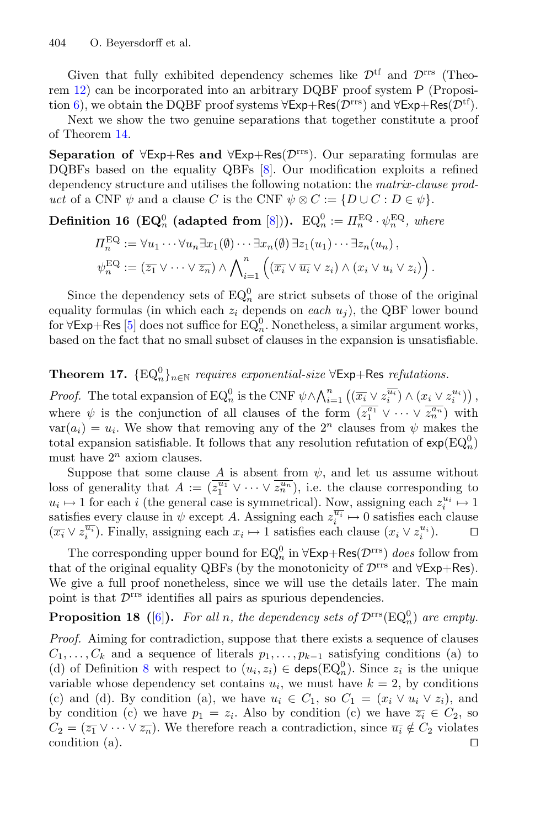Given that fully exhibited dependency schemes like  $\mathcal{D}^{tf}$  and  $\mathcal{D}^{rrs}$  (Theorem [12\)](#page-8-0) can be incorporated into an arbitrary DQBF proof system P (Proposi-tion [6\)](#page-6-1), we obtain the DQBF proof systems  $\forall$ Exp+Res( $\mathcal{D}^{\text{rrs}}$ ) and  $\forall$ Exp+Res( $\mathcal{D}^{\text{tf}}$ ).

Next we show the two genuine separations that together constitute a proof of Theorem [14.](#page-9-1)

**Separation of**  $\forall$ Exp+Res and  $\forall$ Exp+Res( $\mathcal{D}^{\text{rrs}}$ ). Our separating formulas are DQBFs based on the equality QBFs [\[8\]](#page-15-2). Our modification exploits a refined dependency structure and utilises the following notation: the *matrix-clause product* of a CNF  $\psi$  and a clause C is the CNF  $\psi \otimes C := \{D \cup C : D \in \psi\}.$ 

<span id="page-10-2"></span>**Definition 16** (**EQ**<sup>0</sup><sub>n</sub> (adapted from [\[8\]](#page-15-2))).  $EQ_n^0 := \Pi_n^{\text{EQ}} \cdot \psi_n^{\text{EQ}}$ , where

$$
\Pi_n^{\text{EQ}} := \forall u_1 \cdots \forall u_n \exists x_1(\emptyset) \cdots \exists x_n(\emptyset) \exists z_1(u_1) \cdots \exists z_n(u_n),
$$
  

$$
\psi_n^{\text{EQ}} := (\overline{z_1} \vee \cdots \vee \overline{z_n}) \wedge \bigwedge_{i=1}^n \left( (\overline{x_i} \vee \overline{u_i} \vee z_i) \wedge (x_i \vee u_i \vee z_i) \right).
$$

Since the dependency sets of  $EQ_n^0$  are strict subsets of those of the original equality formulas (in which each  $z_i$  depends on *each*  $u_i$ ), the QBF lower bound for  $\forall E \times p + \text{Res}$  [\[5](#page-15-7)] does not suffice for  $EQ_n^0$ . Nonetheless, a similar argument works, based on the fact that no small subset of clauses in the expansion is unsatisfiable.

# <span id="page-10-1"></span>**Theorem 17.**  $\{EQ_n^0\}_{n \in \mathbb{N}}$  *requires exponential-size*  $\forall$ Exp+Res *refutations.*

*Proof.* The total expansion of  $EQ_n^0$  is the CNF  $\psi \wedge \bigwedge_{i=1}^n \left( (\overline{x_i} \vee z_i^{\overline{u_i}}) \wedge (x_i \vee z_i^{u_i}) \right)$ , where  $\psi$  is the conjunction of all clauses of the form  $(\overline{z_1^{a_1}} \vee \cdots \vee \overline{z_n^{a_n}})$  with  $var(a_i) = u_i$ . We show that removing any of the  $2^n$  clauses from  $\psi$  makes the total expansion satisfiable. It follows that any resolution refutation of  $\exp(\mathrm{EQ}_n^0)$ must have  $2^n$  axiom clauses.

Suppose that some clause A is absent from  $\psi$ , and let us assume without loss of generality that  $A := (\overline{z_1^{u_1}} \vee \cdots \vee \overline{z_n^{u_n}})$ , i.e. the clause corresponding to  $u_i \mapsto 1$  for each i (the general case is symmetrical). Now, assigning each  $z_i^{u_i} \mapsto 1$ satisfies every clause in  $\psi$  except A. Assigning each  $z_i^{\overline{u_i}} \mapsto 0$  satisfies each clause  $(\overline{x_i} \vee z_i^{\overline{u_i}})$ . Finally, assigning each  $x_i \mapsto 1$  satisfies each clause  $(x_i \vee z_i^{u_i})$ .

<span id="page-10-0"></span>The corresponding upper bound for  $EQ_n^0$  in  $\forall \textsf{Exp+Res}(\mathcal{D}^{\text{rrs}})$  *does* follow from that of the original equality QBFs (by the monotonicity of  $\mathcal{D}^{\text{rrs}}$  and  $\forall \text{Exp+Res}$ ). We give a full proof nonetheless, since we will use the details later. The main point is that  $\mathcal{D}^{\text{rrs}}$  identifies all pairs as spurious dependencies.

## **Proposition 18** ([\[6\]](#page-15-1)). For all n, the dependency sets of  $\mathcal{D}^{\text{rrs}}(\text{EQ}_n^0)$  are empty.

*Proof.* Aiming for contradiction, suppose that there exists a sequence of clauses  $C_1,\ldots,C_k$  and a sequence of literals  $p_1,\ldots,p_{k-1}$  satisfying conditions (a) to (d) of Definition [8](#page-7-1) with respect to  $(u_i, z_i) \in \text{deps}(\text{EQ}_n^0)$ . Since  $z_i$  is the unique variable whose dependency set contains  $u_i$ , we must have  $k = 2$ , by conditions (c) and (d). By condition (a), we have  $u_i \in C_1$ , so  $C_1 = (x_i \vee u_i \vee z_i)$ , and by condition (c) we have  $p_1 = z_i$ . Also by condition (c) we have  $\overline{z_i} \in C_2$ , so  $C_2 = (\overline{z_1} \vee \cdots \vee \overline{z_n})$ . We therefore reach a contradiction, since  $\overline{u_i} \notin C_2$  violates condition (a). condition (a).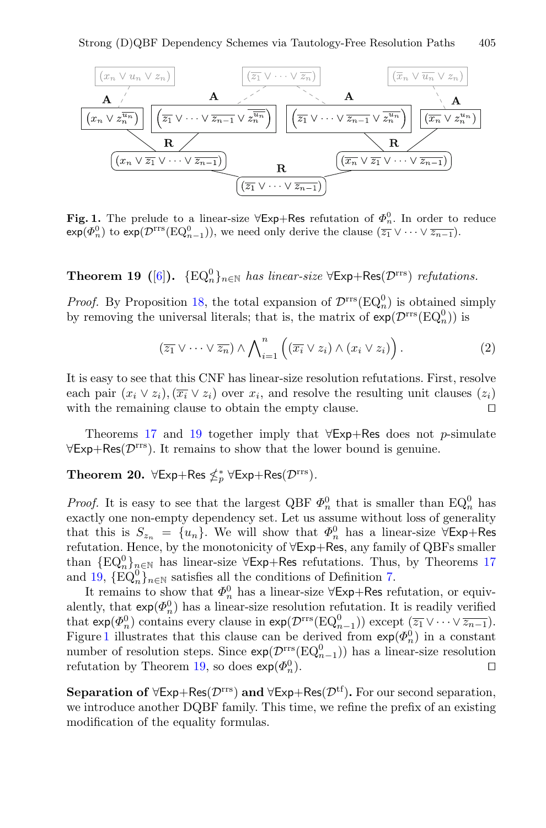

<span id="page-11-2"></span>**Fig. 1.** The prelude to a linear-size  $\forall$ Exp+Res refutation of  $\Phi_n^0$ . In order to reduce  $exp(\Phi_n^0)$  to  $exp(\mathcal{D}^{rrs}(EQ_{n-1}^0))$ , we need only derive the clause  $(\overline{z_1} \vee \cdots \vee \overline{z_{n-1}})$ .

<span id="page-11-1"></span>**Theorem 19** ([\[6\]](#page-15-1)).  $\{EQ_n^0\}_{n \in \mathbb{N}}$  *has linear-size*  $\forall \textsf{Exp+Res}(\mathcal{D}^{\text{rrs}})$  *refutations.* 

*Proof.* By Proposition [18,](#page-10-0) the total expansion of  $\mathcal{D}^{\text{rrs}}(\text{EQ}_n^0)$  is obtained simply by removing the universal literals; that is, the matrix of  $exp(D<sup>rrs</sup>(EQ<sub>n</sub><sup>0</sup>))$  is

<span id="page-11-3"></span>
$$
(\overline{z_1} \vee \cdots \vee \overline{z_n}) \wedge \bigwedge_{i=1}^n \left( (\overline{x_i} \vee z_i) \wedge (x_i \vee z_i) \right).
$$
 (2)

It is easy to see that this CNF has linear-size resolution refutations. First, resolve each pair  $(x_i \vee z_i)$ ,  $(\overline{x_i} \vee z_i)$  over  $x_i$ , and resolve the resulting unit clauses  $(z_i)$  with the remaining clause to obtain the empty clause. with the remaining clause to obtain the empty clause.

<span id="page-11-0"></span>Theorems [17](#page-10-1) and [19](#page-11-1) together imply that  $\forall$ Exp+Res does not p-simulate  $\forall$ Exp+Res( $\mathcal{D}^{rrs}$ ). It remains to show that the lower bound is genuine.

# **Theorem 20.**  $\forall \text{Exp+Res} \nleq^*_{p} \forall \text{Exp+Res}(\mathcal{D}^{\text{rrs}})$ .

*Proof.* It is easy to see that the largest QBF  $\Phi_n^0$  that is smaller than  $EQ_n^0$  has exactly one non-empty dependency set. Let us assume without loss of generality that this is  $S_{z_n} = \{u_n\}$ . We will show that  $\Phi_n^0$  has a linear-size  $\forall E \times p + R$ es refutation. Hence, by the monotonicity of <sup>∀</sup>Exp+Res, any family of QBFs smaller than  $\{EQ_{n}^{0}\}_{n\in\mathbb{N}}$  has linear-size  $\forall$ Exp+Res refutations. Thus, by Theorems [17](#page-10-1) and [19,](#page-11-1)  $\{\mathrm{EQ}_n^0\}_{n\in\mathbb{N}}$  satisfies all the conditions of Definition [7.](#page-7-3)

It remains to show that  $\Phi_n^0$  has a linear-size  $\forall$ Exp+Res refutation, or equivalently, that  $exp(\Phi_n^0)$  has a linear-size resolution refutation. It is readily verified that  $exp(\Phi_n^0)$  contains every clause in  $exp(D^{rrs}(EQ_{n-1}^0))$  except  $(\overline{z_1} \vee \cdots \vee \overline{z_{n-1}})$ . Figure [1](#page-11-2) illustrates that this clause can be derived from  $\exp(\Phi_n^0)$  in a constant number of resolution steps. Since  $exp(\mathcal{D}^{rrs}(EQ_{n-1}^0))$  has a linear-size resolution refutation by Theorem [19,](#page-11-1) so does  $\exp(\Phi_n^0)$ .  $\Box$ <sup>0</sup>).

<span id="page-11-4"></span>**Separation of**  $\forall$ Exp+Res( $\mathcal{D}^{\text{rrs}}$ ) **and**  $\forall$ Exp+Res( $\mathcal{D}^{\text{tf}}$ ). For our second separation, we introduce another DQBF family. This time, we refine the prefix of an existing modification of the equality formulas.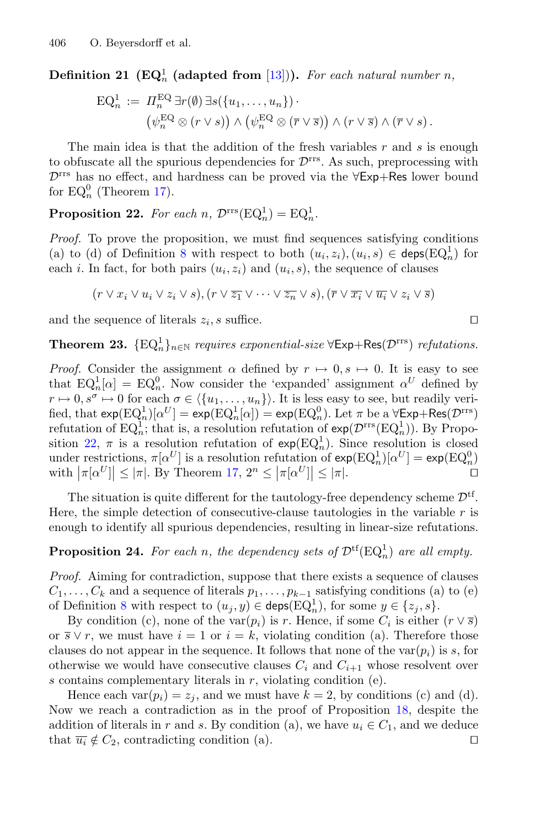**Definition 21** ( $\mathbf{EQ}_n^1$  (adapted from [\[13\]](#page-16-17))). For each natural number n,

<span id="page-12-0"></span>
$$
\mathrm{EQ}_n^1 := \Pi_n^{\mathrm{EQ}} \exists r(\emptyset) \exists s(\{u_1, \ldots, u_n\}) \cdot \n\left(\psi_n^{\mathrm{EQ}} \otimes (r \vee s)\right) \wedge \left(\psi_n^{\mathrm{EQ}} \otimes (\overline{r} \vee \overline{s})\right) \wedge (r \vee \overline{s}) \wedge (\overline{r} \vee s).
$$

The main idea is that the addition of the fresh variables  $r$  and  $s$  is enough to obfuscate all the spurious dependencies for  $\mathcal{D}^{\text{rrs}}$ . As such, preprocessing with <sup>D</sup>rrs has no effect, and hardness can be proved via the <sup>∀</sup>Exp+Res lower bound for  $EQ_n^0$  (Theorem [17\)](#page-10-1).

**Proposition 22.** For each  $n$ ,  $\mathcal{D}^{\text{rrs}}(\text{EQ}_n^1) = \text{EQ}_n^1$ .

*Proof.* To prove the proposition, we must find sequences satisfying conditions (a) to (d) of Definition [8](#page-7-1) with respect to both  $(u_i, z_i), (u_i, s) \in \text{deps}(EQ_n^1)$  for each i. In fact, for both pairs  $(u_i, z_i)$  and  $(u_i, s)$ , the sequence of clauses

$$
(r \vee x_i \vee u_i \vee z_i \vee s), (r \vee \overline{z_1} \vee \cdots \vee \overline{z_n} \vee s), (\overline{r} \vee \overline{x_i} \vee \overline{u_i} \vee z_i \vee \overline{s})
$$

<span id="page-12-2"></span>and the sequence of literals  $z_i$ , s suffice.

**Theorem 23.**  $\{EQ_n^1\}_{n \in \mathbb{N}}$  *requires exponential-size*  $\forall \textsf{Exp+Res}(\mathcal{D}^{\text{rrs}})$  *refutations.* 

*Proof.* Consider the assignment  $\alpha$  defined by  $r \mapsto 0, s \mapsto 0$ . It is easy to see that  $EQ_n^1[\alpha] = EQ_n^0$ . Now consider the 'expanded' assignment  $\alpha^U$  defined by  $r \mapsto 0, s^{\sigma} \mapsto 0$  for each  $\sigma \in \langle \{u_1, \ldots, u_n\} \rangle$ . It is less easy to see, but readily verified, that  $exp(EQ_n^1)[\alpha^U] = exp(EQ_n^1[\alpha]) = exp(EQ_n^0)$ . Let  $\pi$  be a  $\forall Exp+Res(\mathcal{D}^{rrs})$ refutation of  $EQ_n^1$ ; that is, a resolution refutation of  $exp(D^{rrs}(EQ_n^1))$ . By Propo-sition [22,](#page-12-0)  $\pi$  is a resolution refutation of  $\exp(\mathrm{EQ}_n^1)$ . Since resolution is closed under restrictions,  $\pi[\alpha^U]$  is a resolution refutation of  $exp(EQ_n^1)[\alpha^U] = exp(EQ_n^0)$ with  $|\pi[\alpha^U]| \leq |\pi|$ . By Theorem [17,](#page-10-1)  $2^n \leq |\pi[\alpha^U]| \leq |\pi|$ .

The situation is quite different for the tautology-free dependency scheme  $\mathcal{D}^{tf}$ . Here, the simple detection of consecutive-clause tautologies in the variable  $r$  is enough to identify all spurious dependencies, resulting in linear-size refutations.

## <span id="page-12-1"></span>**Proposition 24.** For each n, the dependency sets of  $\mathcal{D}^{tf}(EQ_n^1)$  are all empty.

*Proof.* Aiming for contradiction, suppose that there exists a sequence of clauses  $C_1,\ldots,C_k$  and a sequence of literals  $p_1,\ldots,p_{k-1}$  satisfying conditions (a) to (e) of Definition [8](#page-7-1) with respect to  $(u_j, y) \in \text{deps}(\text{EQ}_n^1)$ , for some  $y \in \{z_j, s\}$ .

By condition (c), none of the var $(p_i)$  is r. Hence, if some  $C_i$  is either  $(r \vee \overline{s})$ or  $\overline{s} \vee r$ , we must have  $i = 1$  or  $i = k$ , violating condition (a). Therefore those clauses do not appear in the sequence. It follows that none of the  $var(p_i)$  is s, for otherwise we would have consecutive clauses  $C_i$  and  $C_{i+1}$  whose resolvent over s contains complementary literals in  $r$ , violating condition (e).

<span id="page-12-3"></span>Hence each var $(p_i) = z_i$ , and we must have  $k = 2$ , by conditions (c) and (d). Now we reach a contradiction as in the proof of Proposition [18,](#page-10-0) despite the addition of literals in r and s. By condition (a), we have  $u_i \in C_1$ , and we deduce that  $\overline{u_i} \notin C_2$ , contradicting condition (a). that  $\overline{u_i} \notin C_2$ , contradicting condition (a).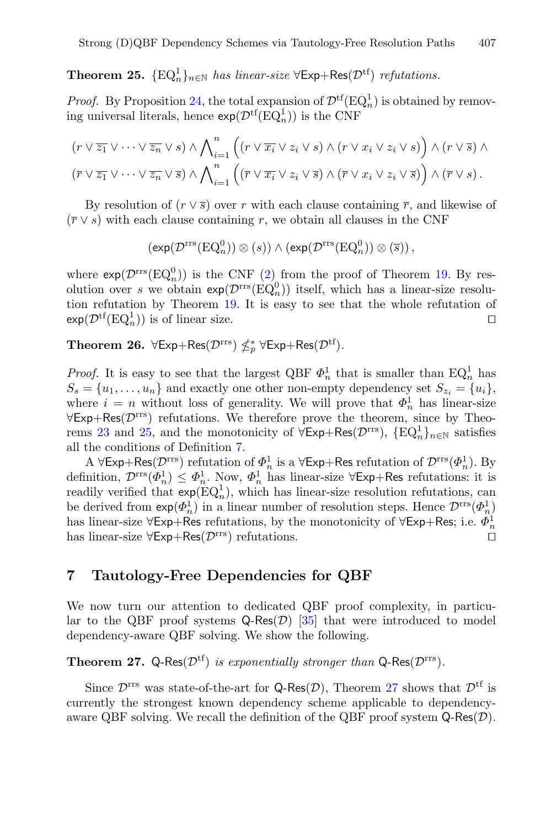# **Theorem 25.**  $\{EQ_n^1\}_{n \in \mathbb{N}}$  *has linear-size*  $\forall$ Exp+Res $(\mathcal{D}^{tf})$  *refutations.*

*Proof.* By Proposition [24,](#page-12-1) the total expansion of  $\mathcal{D}^{tf}(EQ^1_n)$  is obtained by removing universal literals, hence  $\exp(\mathcal{D}^{\text{tf}}(\text{EQ}_n^1))$  is the CNF

$$
(r \vee \overline{z_1} \vee \cdots \vee \overline{z_n} \vee s) \wedge \bigwedge_{i=1}^n ((r \vee \overline{x_i} \vee z_i \vee s) \wedge (r \vee x_i \vee z_i \vee s)) \wedge (r \vee \overline{s}) \wedge (r \vee \overline{s}) \wedge (\overline{r} \vee \overline{z_1} \vee \cdots \vee \overline{z_n} \vee \overline{s}) \wedge \bigwedge_{i=1}^n ((\overline{r} \vee \overline{x_i} \vee z_i \vee \overline{s}) \wedge (\overline{r} \vee x_i \vee z_i \vee \overline{s})) \wedge (\overline{r} \vee s).
$$

By resolution of  $(r \vee \overline{s})$  over r with each clause containing  $\overline{r}$ , and likewise of  $(\bar{r} \vee s)$  with each clause containing r, we obtain all clauses in the CNF

$$
\left(\exp(\mathcal{D}^{\mathrm{rrs}}(\mathrm{EQ}_n^0))\otimes(s)\right)\wedge\left(\exp(\mathcal{D}^{\mathrm{rrs}}(\mathrm{EQ}_n^0))\otimes(\overline{s})\right),\,
$$

where  $\exp(\mathcal{D}^{\text{rrs}}(EQ_n^0))$  is the CNF [\(2\)](#page-11-3) from the proof of Theorem [19.](#page-11-1) By resolution over s we obtain  $exp(D<sup>rrs</sup>(EQ<sup>0</sup><sub>n</sub>))$  itself, which has a linear-size resolution refutation by Theorem [19.](#page-11-1) It is easy to see that the whole refutation of  $\exp(\mathcal{D}^{\mathrm{tf}}(\mathrm{EQ}_n^1))$  is of linear size.

<span id="page-13-1"></span>**Theorem 26.**  $\forall \text{Exp+Res}(\mathcal{D}^{\text{rrs}}) \nleq_p^* \forall \text{Exp+Res}(\mathcal{D}^{\text{tf}})$ .

*Proof.* It is easy to see that the largest QBF  $\Phi_n^1$  that is smaller than  $EQ_n^1$  has  $S_s = \{u_1, \ldots, u_n\}$  and exactly one other non-empty dependency set  $S_{z_i} = \{u_i\},$ where  $i = n$  without loss of generality. We will prove that  $\Phi_n^1$  has linear-size  $\forall$ Exp+Res( $\mathcal{D}^{rrs}$ ) refutations. We therefore prove the theorem, since by Theo-rems [23](#page-12-2) and [25,](#page-12-3) and the monotonicity of  $\forall \textsf{Exp+Res}(\mathcal{D}^{\text{rrs}})$ ,  $\{\text{EQ}_n^1\}_{n\in\mathbb{N}}$  satisfies all the conditions of Definition [7.](#page-7-3)

A  $\forall$ Exp+Res( $\mathcal{D}^{\text{rrs}}$ ) refutation of  $\Phi_n^1$  is a  $\forall$ Exp+Res refutation of  $\mathcal{D}^{\text{rrs}}(\Phi_n^1)$ . By definition,  $\mathcal{D}^{rrs}(\Phi_n^1) \leq \Phi_n^1$ . Now,  $\Phi_n^1$  has linear-size  $\forall \textsf{Exp+Res}$  refutations: it is readily verified that  $\exp(\mathrm{EQ}_n^1)$ , which has linear-size resolution refutations, can be derived from  $exp(\Phi_n^1)$  in a linear number of resolution steps. Hence  $\mathcal{D}^{rrs}(\Phi_n^1)$ has linear-size  $\forall$ Exp+Res refutations, by the monotonicity of  $\forall$ Exp+Res; i.e.  $\Phi_n^1$ has linear-size  $\forall$ Exp+Res $(\mathcal{D}^{rrs})$  refutations.

#### <span id="page-13-0"></span>**7 Tautology-Free Dependencies for QBF**

We now turn our attention to dedicated QBF proof complexity, in particular to the QBF proof systems  $Q$ -Res $(\mathcal{D})$  [\[35](#page-17-2)] that were introduced to model dependency-aware QBF solving. We show the following.

<span id="page-13-2"></span>**Theorem 27.** Q-Res $(\mathcal{D}^{tf})$  *is exponentially stronger than* Q-Res $(\mathcal{D}^{rrs})$ *.* 

Since  $\mathcal{D}^{\text{rrs}}$  was state-of-the-art for Q-Res $(\mathcal{D})$ , Theorem [27](#page-13-2) shows that  $\mathcal{D}^{\text{tf}}$  is currently the strongest known dependency scheme applicable to dependencyaware QBF solving. We recall the definition of the QBF proof system  $\mathsf{Q}$ -Res $(\mathcal{D})$ .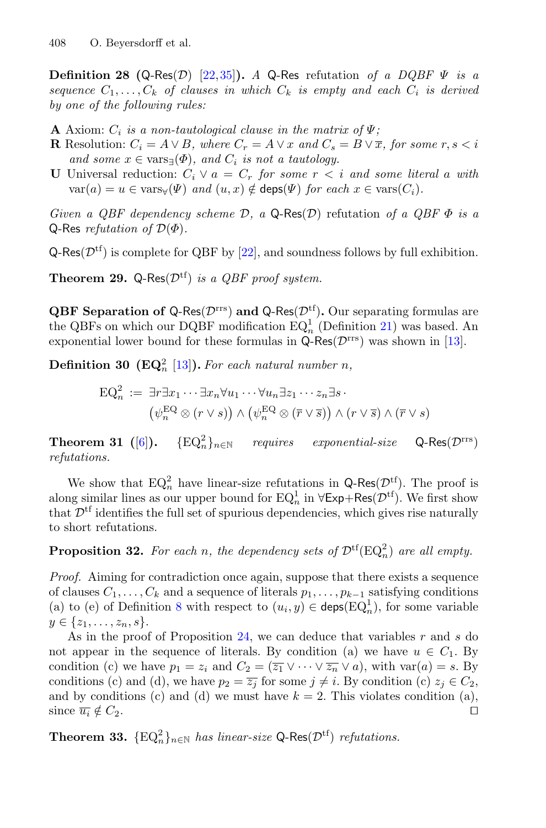**Definition 28 (Q-Res**(D) [\[22](#page-16-12)[,35](#page-17-2)]). *A* Q-Res refutation of a DQBF  $\Psi$  is a *sequence*  $C_1, \ldots, C_k$  *of clauses in which*  $C_k$  *is empty and each*  $C_i$  *is derived by one of the following rules:*

- **A** Axiom:  $C_i$  *is a non-tautological clause in the matrix of*  $\Psi$ ;
- **R** Resolution:  $C_i = A \vee B$ *, where*  $C_r = A \vee x$  *and*  $C_s = B \vee \overline{x}$ *, for some*  $r, s < i$ *and some*  $x \in \text{vars}(\Phi)$ *, and*  $C_i$  *is not a tautology.*
- **U** Universal reduction:  $C_i \vee a = C_r$  *for some*  $r < i$  *and some literal* a *with*  $var(a) = u \in \text{vars}_{\forall}(\Psi)$  *and*  $(u, x) \notin \text{deps}(\Psi)$  *for each*  $x \in \text{vars}(C_i)$ *.*

*Given a QBF dependency scheme* <sup>D</sup>*, a* <sup>Q</sup>-Res(D) refutation *of a QBF* <sup>Φ</sup> *is a* <sup>Q</sup>-Res *refutation of* <sup>D</sup>(Φ)*.*

 $Q-Res(\mathcal{D}^{tf})$  is complete for QBF by [\[22](#page-16-12)], and soundness follows by full exhibition.

**Theorem 29.** Q-Res $(\mathcal{D}^{tf})$  *is a QBF proof system.* 

**QBF Separation of Q-Res(** $\mathcal{D}^{\text{rrs}}$ **) and Q-Res(** $\mathcal{D}^{\text{tf}}$ **). Our separating formulas are** the QBFs on which our DQBF modification  $EQ<sub>n</sub><sup>1</sup>$  (Definition [21\)](#page-11-4) was based. An exponential lower bound for these formulas in  $Q$ -Res( $\mathcal{D}^{rrs}$ ) was shown in [\[13](#page-16-17)].

**Definition 30 (EQ**<sub>n</sub><sup>2</sup> [\[13\]](#page-16-17)). For each natural number n,

$$
\mathrm{EQ}_n^2 := \exists r \exists x_1 \cdots \exists x_n \forall u_1 \cdots \forall u_n \exists z_1 \cdots z_n \exists s
$$

$$
(\psi_n^{\mathrm{EQ}} \otimes (r \vee s)) \wedge (\psi_n^{\mathrm{EQ}} \otimes (\overline{r} \vee \overline{s})) \wedge (r \vee \overline{s}) \wedge (\overline{r} \vee s)
$$

**Theorem 31** ([\[6\]](#page-15-1)).  $\{EQ_n^2\}_{n\in\mathbb{N}}$ *requires exponential-size* Q-Res( $D$ <sup>rrs</sup>) *refutations.*

<span id="page-14-0"></span>We show that  $EQ_n^2$  have linear-size refutations in  $Q\text{-}Res(D^{tf})$ . The proof is along similar lines as our upper bound for  $EQ_n^1$  in  $\forall \textsf{Exp+Res}(\mathcal{D}^{tf})$ . We first show that  $\mathcal{D}^{\text{tf}}$  identifies the full set of spurious dependencies, which gives rise naturally to short refutations.

**Proposition 32.** For each n, the dependency sets of  $\mathcal{D}^{tf}(EQ_n^2)$  are all empty.

*Proof.* Aiming for contradiction once again, suppose that there exists a sequence of clauses  $C_1, \ldots, C_k$  and a sequence of literals  $p_1, \ldots, p_{k-1}$  satisfying conditions (a) to (e) of Definition [8](#page-7-1) with respect to  $(u_i, y) \in \text{deps}(\text{EQ}_n^1)$ , for some variable  $y \in \{z_1, \ldots, z_n, s\}.$ 

As in the proof of Proposition  $24$ , we can deduce that variables r and s do not appear in the sequence of literals. By condition (a) we have  $u \in C_1$ . By condition (c) we have  $p_1 = z_i$  and  $C_2 = (\overline{z_1} \vee \cdots \vee \overline{z_n} \vee a)$ , with  $var(a) = s$ . By conditions (c) and (d), we have  $p_2 = \overline{z_j}$  for some  $j \neq i$ . By condition (c)  $z_j \in C_2$ , and by conditions (c) and (d) we must have  $k = 2$ . This violates condition (a), since  $\overline{u_i} \notin C_2$ .

**Theorem 33.**  $\{EQ_n^2\}_{n \in \mathbb{N}}$  *has linear-size* Q-Res $(\mathcal{D}^{tf})$  *refutations.*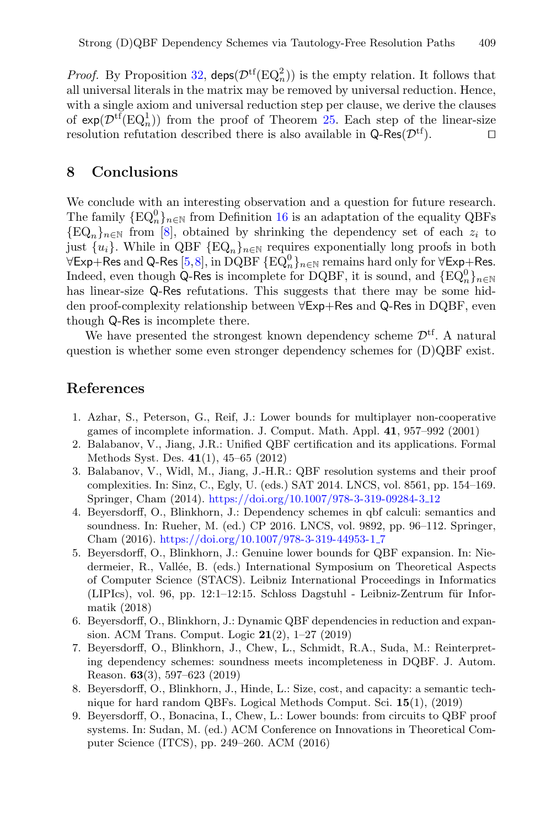*Proof.* By Proposition [32,](#page-14-0)  $\text{disp}(\mathcal{D}^{\text{tf}}(EQ_n^2))$  is the empty relation. It follows that all universal literals in the matrix may be removed by universal reduction. Hence, with a single axiom and universal reduction step per clause, we derive the clauses of  $exp(D^{tf}(EQ^1_n))$  from the proof of Theorem [25.](#page-12-3) Each step of the linear-size resolution refutation described there is also available in  $Q$ -Res $(\mathcal{D}^{tf})$ .

#### **8 Conclusions**

We conclude with an interesting observation and a question for future research. The family  $\{EQ_n^0\}_{n\in\mathbb{N}}$  from Definition [16](#page-10-2) is an adaptation of the equality QBFs  ${EQ_n}_{n\in\mathbb{N}}$  from [\[8\]](#page-15-2), obtained by shrinking the dependency set of each  $z_i$  to just  $\{u_i\}$ . While in QBF  $\{\mathrm{EQ}_n\}_{n\in\mathbb{N}}$  requires exponentially long proofs in both  $\forall E$ xp+Res and Q-Res [\[5](#page-15-7),[8\]](#page-15-2), in DQBF {EQ $_n^0$ }<sub>n∈N</sub> remains hard only for  $\forall E$ xp+Res. Indeed, even though Q-Res is incomplete for DQBF, it is sound, and  $\{\mathrm{EQ}_n^0\}_{n\in\mathbb{N}}$ has linear-size Q-Res refutations. This suggests that there may be some hidden proof-complexity relationship between <sup>∀</sup>Exp+Res and <sup>Q</sup>-Res in DQBF, even though Q-Res is incomplete there.

We have presented the strongest known dependency scheme  $\mathcal{D}^{\mathrm{tf}}$ . A natural question is whether some even stronger dependency schemes for (D)QBF exist.

#### **References**

- <span id="page-15-5"></span>1. Azhar, S., Peterson, G., Reif, J.: Lower bounds for multiplayer non-cooperative games of incomplete information. J. Comput. Math. Appl. **41**, 957–992 (2001)
- <span id="page-15-4"></span>2. Balabanov, V., Jiang, J.R.: Unified QBF certification and its applications. Formal Methods Syst. Des. **41**(1), 45–65 (2012)
- <span id="page-15-0"></span>3. Balabanov, V., Widl, M., Jiang, J.-H.R.: QBF resolution systems and their proof complexities. In: Sinz, C., Egly, U. (eds.) SAT 2014. LNCS, vol. 8561, pp. 154–169. Springer, Cham (2014). [https://doi.org/10.1007/978-3-319-09284-3](https://doi.org/10.1007/978-3-319-09284-3_12) 12
- <span id="page-15-6"></span>4. Beyersdorff, O., Blinkhorn, J.: Dependency schemes in qbf calculi: semantics and soundness. In: Rueher, M. (ed.) CP 2016. LNCS, vol. 9892, pp. 96–112. Springer, Cham (2016). [https://doi.org/10.1007/978-3-319-44953-1](https://doi.org/10.1007/978-3-319-44953-1_7) 7
- <span id="page-15-7"></span>5. Beyersdorff, O., Blinkhorn, J.: Genuine lower bounds for QBF expansion. In: Niedermeier, R., Vallée, B. (eds.) International Symposium on Theoretical Aspects of Computer Science (STACS). Leibniz International Proceedings in Informatics  $(LIPIs)$ , vol. 96, pp. 12:1–12:15. Schloss Dagstuhl - Leibniz-Zentrum für Informatik (2018)
- <span id="page-15-1"></span>6. Beyersdorff, O., Blinkhorn, J.: Dynamic QBF dependencies in reduction and expansion. ACM Trans. Comput. Logic **21**(2), 1–27 (2019)
- <span id="page-15-3"></span>7. Beyersdorff, O., Blinkhorn, J., Chew, L., Schmidt, R.A., Suda, M.: Reinterpreting dependency schemes: soundness meets incompleteness in DQBF. J. Autom. Reason. **63**(3), 597–623 (2019)
- <span id="page-15-2"></span>8. Beyersdorff, O., Blinkhorn, J., Hinde, L.: Size, cost, and capacity: a semantic technique for hard random QBFs. Logical Methods Comput. Sci. **15**(1), (2019)
- 9. Beyersdorff, O., Bonacina, I., Chew, L.: Lower bounds: from circuits to QBF proof systems. In: Sudan, M. (ed.) ACM Conference on Innovations in Theoretical Computer Science (ITCS), pp. 249–260. ACM (2016)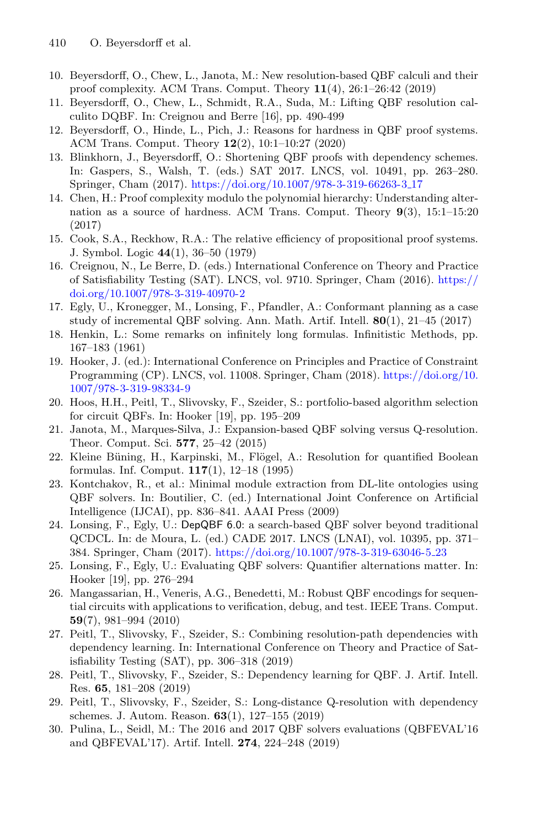- <span id="page-16-5"></span>10. Beyersdorff, O., Chew, L., Janota, M.: New resolution-based QBF calculi and their proof complexity. ACM Trans. Comput. Theory **11**(4), 26:1–26:42 (2019)
- <span id="page-16-16"></span>11. Beyersdorff, O., Chew, L., Schmidt, R.A., Suda, M.: Lifting QBF resolution calculito DQBF. In: Creignou and Berre [16], pp. 490-499
- <span id="page-16-14"></span>12. Beyersdorff, O., Hinde, L., Pich, J.: Reasons for hardness in QBF proof systems. ACM Trans. Comput. Theory **12**(2), 10:1–10:27 (2020)
- <span id="page-16-17"></span>13. Blinkhorn, J., Beyersdorff, O.: Shortening QBF proofs with dependency schemes. In: Gaspers, S., Walsh, T. (eds.) SAT 2017. LNCS, vol. 10491, pp. 263–280. Springer, Cham (2017). [https://doi.org/10.1007/978-3-319-66263-3](https://doi.org/10.1007/978-3-319-66263-3_17) 17
- <span id="page-16-15"></span>14. Chen, H.: Proof complexity modulo the polynomial hierarchy: Understanding alternation as a source of hardness. ACM Trans. Comput. Theory **9**(3), 15:1–15:20 (2017)
- <span id="page-16-18"></span>15. Cook, S.A., Reckhow, R.A.: The relative efficiency of propositional proof systems. J. Symbol. Logic **44**(1), 36–50 (1979)
- 16. Creignou, N., Le Berre, D. (eds.) International Conference on Theory and Practice of Satisfiability Testing (SAT). LNCS, vol. 9710. Springer, Cham (2016). [https://](https://doi.org/10.1007/978-3-319-40970-2) [doi.org/10.1007/978-3-319-40970-2](https://doi.org/10.1007/978-3-319-40970-2)
- <span id="page-16-2"></span>17. Egly, U., Kronegger, M., Lonsing, F., Pfandler, A.: Conformant planning as a case study of incremental QBF solving. Ann. Math. Artif. Intell. **80**(1), 21–45 (2017)
- <span id="page-16-13"></span>18. Henkin, L.: Some remarks on infinitely long formulas. Infinitistic Methods, pp. 167–183 (1961)
- 19. Hooker, J. (ed.): International Conference on Principles and Practice of Constraint Programming (CP). LNCS, vol. 11008. Springer, Cham (2018). [https://doi.org/10.](https://doi.org/10.1007/978-3-319-98334-9) [1007/978-3-319-98334-9](https://doi.org/10.1007/978-3-319-98334-9)
- <span id="page-16-9"></span>20. Hoos, H.H., Peitl, T., Slivovsky, F., Szeider, S.: portfolio-based algorithm selection for circuit QBFs. In: Hooker [19], pp. 195–209
- <span id="page-16-1"></span>21. Janota, M., Marques-Silva, J.: Expansion-based QBF solving versus Q-resolution. Theor. Comput. Sci. **577**, 25–42 (2015)
- <span id="page-16-12"></span>22. Kleine Büning, H., Karpinski, M., Flögel, A.: Resolution for quantified Boolean formulas. Inf. Comput. **117**(1), 12–18 (1995)
- <span id="page-16-3"></span>23. Kontchakov, R., et al.: Minimal module extraction from DL-lite ontologies using QBF solvers. In: Boutilier, C. (ed.) International Joint Conference on Artificial Intelligence (IJCAI), pp. 836–841. AAAI Press (2009)
- <span id="page-16-6"></span>24. Lonsing, F., Egly, U.: DepQBF 6.0: a search-based QBF solver beyond traditional QCDCL. In: de Moura, L. (ed.) CADE 2017. LNCS (LNAI), vol. 10395, pp. 371– 384. Springer, Cham (2017). [https://doi.org/10.1007/978-3-319-63046-5](https://doi.org/10.1007/978-3-319-63046-5_23) 23
- <span id="page-16-10"></span>25. Lonsing, F., Egly, U.: Evaluating QBF solvers: Quantifier alternations matter. In: Hooker [19], pp. 276–294
- <span id="page-16-4"></span>26. Mangassarian, H., Veneris, A.G., Benedetti, M.: Robust QBF encodings for sequential circuits with applications to verification, debug, and test. IEEE Trans. Comput. **59**(7), 981–994 (2010)
- <span id="page-16-7"></span>27. Peitl, T., Slivovsky, F., Szeider, S.: Combining resolution-path dependencies with dependency learning. In: International Conference on Theory and Practice of Satisfiability Testing (SAT), pp. 306–318 (2019)
- <span id="page-16-8"></span>28. Peitl, T., Slivovsky, F., Szeider, S.: Dependency learning for QBF. J. Artif. Intell. Res. **65**, 181–208 (2019)
- <span id="page-16-11"></span>29. Peitl, T., Slivovsky, F., Szeider, S.: Long-distance Q-resolution with dependency schemes. J. Autom. Reason. **63**(1), 127–155 (2019)
- <span id="page-16-0"></span>30. Pulina, L., Seidl, M.: The 2016 and 2017 QBF solvers evaluations (QBFEVAL'16 and QBFEVAL'17). Artif. Intell. **274**, 224–248 (2019)